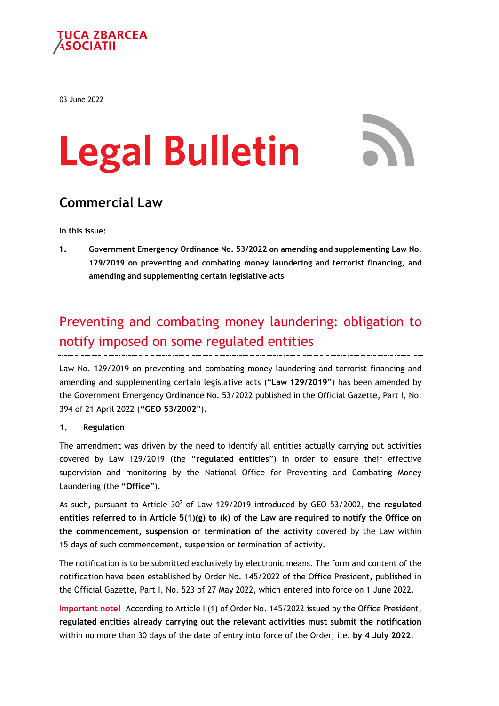

03 June 2022

# **Legal Bulletin**



## **Commercial Law**

**In this issue:**

**1. Government Emergency Ordinance No. 53/2022 on amending and supplementing Law No. 129/2019 on preventing and combating money laundering and terrorist financing, and amending and supplementing certain legislative acts**

## Preventing and combating money laundering: obligation to notify imposed on some regulated entities

Law No. 129/2019 on preventing and combating money laundering and terrorist financing and amending and supplementing certain legislative acts ("**Law 129/2019**") has been amended by the Government Emergency Ordinance No. 53/2022 published in the Official Gazette, Part I, No. 394 of 21 April 2022 (**"GEO 53/2002**").

#### **1. Regulation**

The amendment was driven by the need to identify all entities actually carrying out activities covered by Law 129/2019 (the **"regulated entities**") in order to ensure their effective supervision and monitoring by the National Office for Preventing and Combating Money Laundering (the **"Office**").

As such, pursuant to Article 302 of Law 129/2019 introduced by GEO 53/2002, **the regulated entities referred to in Article 5(1)(g) to (k) of the Law are required to notify the Office on the commencement, suspension or termination of the activity** covered by the Law within 15 days of such commencement, suspension or termination of activity.

The notification is to be submitted exclusively by electronic means. The form and content of the notification have been established by Order No. 145/2022 of the Office President, published in the Official Gazette, Part I, No. 523 of 27 May 2022, which entered into force on 1 June 2022.

**Important note!** According to Article II(1) of Order No. 145/2022 issued by the Office President, **regulated entities already carrying out the relevant activities must submit the notification** within no more than 30 days of the date of entry into force of the Order, i.e. **by 4 July 2022**.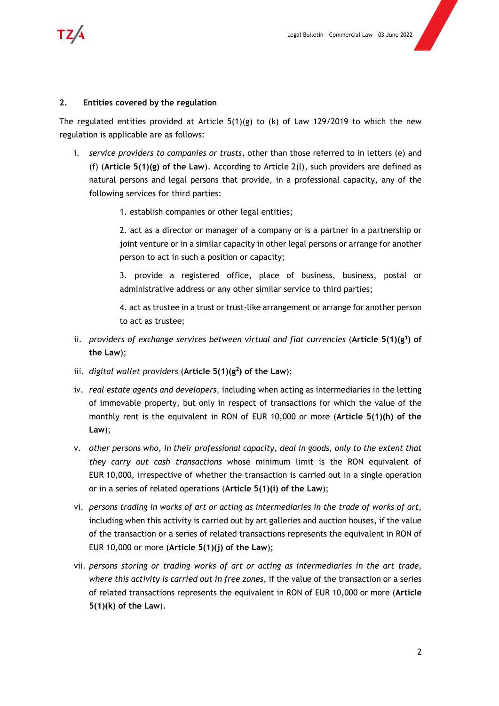

#### **2. Entities covered by the regulation**

The regulated entities provided at Article  $5(1)(g)$  to (k) of Law 129/2019 to which the new regulation is applicable are as follows:

- i. *service providers to companies or trusts,* other than those referred to in letters (e) and (f) (**Article 5(1)(g) of the Law**). According to Article 2(l), such providers are defined as natural persons and legal persons that provide, in a professional capacity, any of the following services for third parties:
	- 1. establish companies or other legal entities;

2. act as a director or manager of a company or is a partner in a partnership or joint venture or in a similar capacity in other legal persons or arrange for another person to act in such a position or capacity;

3. provide a registered office, place of business, business, postal or administrative address or any other similar service to third parties;

4. act as trustee in a trust or trust-like arrangement or arrange for another person to act as trustee;

- ii. *providers of exchange services between virtual and fiat currencies (Article* 5(1)(g<sup>1</sup>) of **the Law**);
- iii. *digital wallet providers* (Article  $5(1)(g^2)$  of the Law);
- iv. *real estate agents and developers*, including when acting as intermediaries in the letting of immovable property, but only in respect of transactions for which the value of the monthly rent is the equivalent in RON of EUR 10,000 or more (**Article 5(1)(h) of the Law**);
- v. *other persons who, in their professional capacity, deal in goods, only to the extent that they carry out cash transactions* whose minimum limit is the RON equivalent of EUR 10,000, irrespective of whether the transaction is carried out in a single operation or in a series of related operations (**Article 5(1)(i) of the Law**);
- vi. *persons trading in works of art or acting as intermediaries in the trade of works of art,*  including when this activity is carried out by art galleries and auction houses, if the value of the transaction or a series of related transactions represents the equivalent in RON of EUR 10,000 or more (**Article 5(1)(j) of the Law**);
- vii. *persons storing or trading works of art or acting as intermediaries in the art trade, where this activity is carried out in free zones*, if the value of the transaction or a series of related transactions represents the equivalent in RON of EUR 10,000 or more (**Article 5(1)(k) of the Law**).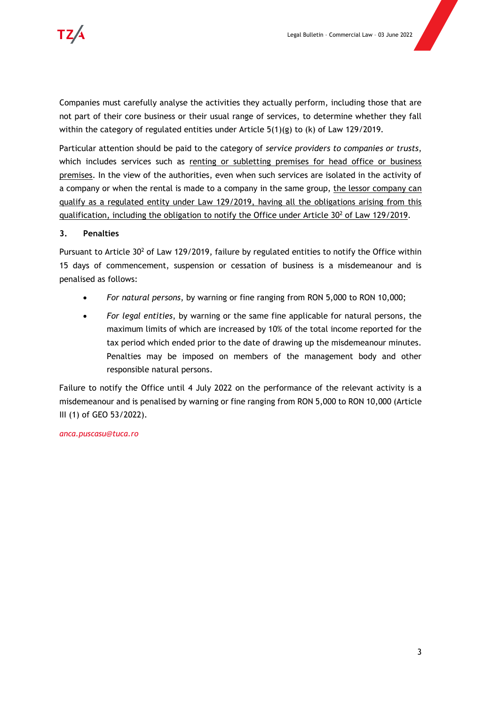Companies must carefully analyse the activities they actually perform, including those that are not part of their core business or their usual range of services, to determine whether they fall within the category of regulated entities under Article  $5(1)(g)$  to (k) of Law 129/2019.

Particular attention should be paid to the category of *service providers to companies or trusts*, which includes services such as renting or subletting premises for head office or business premises. In the view of the authorities, even when such services are isolated in the activity of a company or when the rental is made to a company in the same group, the lessor company can qualify as a regulated entity under Law 129/2019, having all the obligations arising from this qualification, including the obligation to notify the Office under Article 30<sup>2</sup> of Law 129/2019.

#### **3. Penalties**

Pursuant to Article 30<sup>2</sup> of Law 129/2019, failure by regulated entities to notify the Office within 15 days of commencement, suspension or cessation of business is a misdemeanour and is penalised as follows:

- *For natural persons*, by warning or fine ranging from RON 5,000 to RON 10,000;
- *For legal entities*, by warning or the same fine applicable for natural persons, the maximum limits of which are increased by 10% of the total income reported for the tax period which ended prior to the date of drawing up the misdemeanour minutes. Penalties may be imposed on members of the management body and other responsible natural persons.

Failure to notify the Office until 4 July 2022 on the performance of the relevant activity is a misdemeanour and is penalised by warning or fine ranging from RON 5,000 to RON 10,000 (Article III (1) of GEO 53/2022).

*anca.puscasu@tuca.ro*